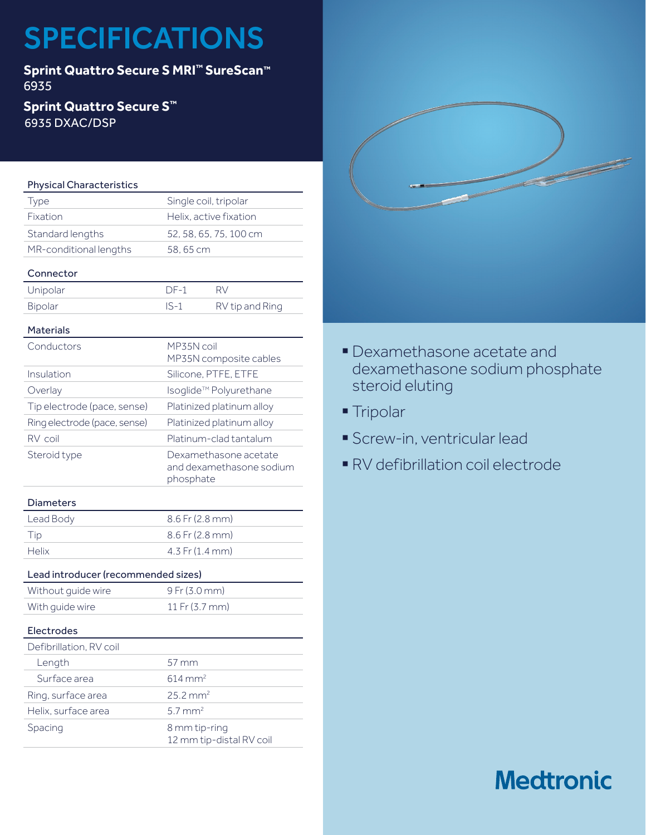# SPECIFICATIONS

**Sprint Quattro Secure S MRI™ SureScan™** 6935

## **Sprint Quattro Secure S™** 6935 DXAC/DSP

## Physical Characteristics

| Type                   | Single coil, tripolar  |
|------------------------|------------------------|
| Fixation               | Helix, active fixation |
| Standard lengths       | 52, 58, 65, 75, 100 cm |
| MR-conditional lengths | 58,65 cm               |
|                        |                        |

## Connector

| Unipolar | $DF-1$ |                 |
|----------|--------|-----------------|
| Bipolar  | $IS-1$ | RV tip and Ring |

## Materials

| Conductors                   | MP35N coil<br>MP35N composite cables                           |
|------------------------------|----------------------------------------------------------------|
| Insulation                   | Silicone, PTFE, ETFE                                           |
| Overlay                      | Isoqlide™ Polyurethane                                         |
| Tip electrode (pace, sense)  | Platinized platinum alloy                                      |
| Ring electrode (pace, sense) | Platinized platinum alloy                                      |
| RV coil                      | Platinum-clad tantalum                                         |
| Steroid type                 | Dexamethasone acetate<br>and dexamethasone sodium<br>phosphate |

### Diameters

| Lead Body | $8.6$ Fr (2.8 mm)   |
|-----------|---------------------|
| Tip       | $8.6$ Fr (2.8 mm)   |
| Helix     | $4.3$ Fr $(1.4$ mm) |

## Lead introducer (recommended sizes)

| Without quide wire | $9$ Fr (3.0 mm) |
|--------------------|-----------------|
| With quide wire    | 11 Fr (3.7 mm)  |
|                    |                 |

### Electrodes

| Defibrillation, RV coil |                                           |
|-------------------------|-------------------------------------------|
| Length                  | $57 \,\mathrm{mm}$                        |
| Surface area            | $614 \text{ mm}^2$                        |
| Ring, surface area      | $25.2 \text{ mm}^2$                       |
| Helix, surface area     | $5.7 \text{ mm}^2$                        |
| Spacing                 | 8 mm tip-ring<br>12 mm tip-distal RV coil |



- § Dexamethasone acetate and dexamethasone sodium phosphate steroid eluting
- Tripolar
- § Screw-in, ventricular lead
- § RV defibrillation coil electrode

## **Medtronic**